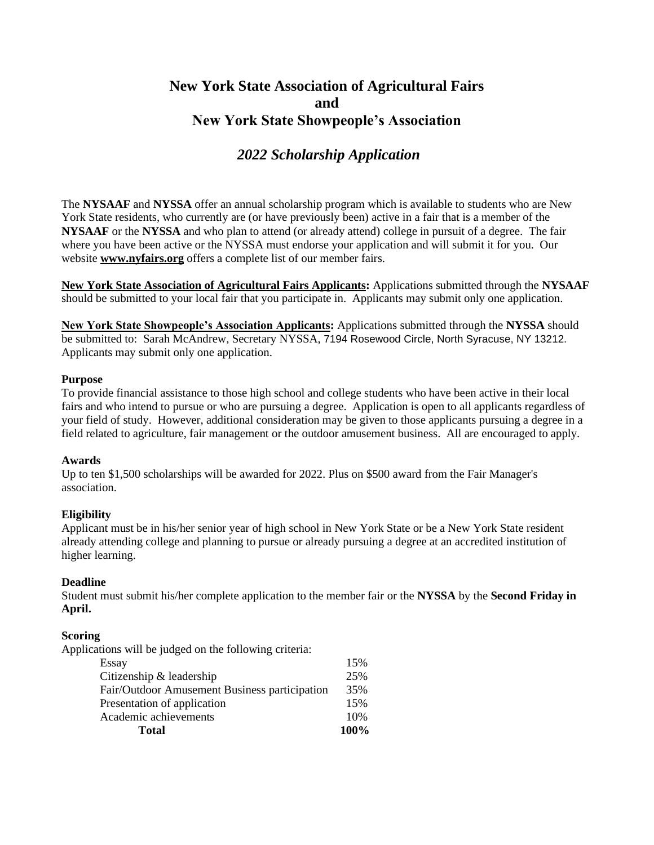## **New York State Association of Agricultural Fairs and New York State Showpeople's Association**

## *2022 Scholarship Application*

The **NYSAAF** and **NYSSA** offer an annual scholarship program which is available to students who are New York State residents, who currently are (or have previously been) active in a fair that is a member of the **NYSAAF** or the **NYSSA** and who plan to attend (or already attend) college in pursuit of a degree. The fair where you have been active or the NYSSA must endorse your application and will submit it for you. Our website **[www.nyfairs.org](http://www.nyfairs.org/)** offers a complete list of our member fairs.

**New York State Association of Agricultural Fairs Applicants:** Applications submitted through the **NYSAAF** should be submitted to your local fair that you participate in. Applicants may submit only one application.

**New York State Showpeople's Association Applicants:** Applications submitted through the **NYSSA** should be submitted to: Sarah McAndrew, Secretary NYSSA, 7194 Rosewood Circle, North Syracuse, NY 13212. Applicants may submit only one application.

#### **Purpose**

To provide financial assistance to those high school and college students who have been active in their local fairs and who intend to pursue or who are pursuing a degree. Application is open to all applicants regardless of your field of study. However, additional consideration may be given to those applicants pursuing a degree in a field related to agriculture, fair management or the outdoor amusement business. All are encouraged to apply.

#### **Awards**

Up to ten \$1,500 scholarships will be awarded for 2022. Plus on \$500 award from the Fair Manager's association.

#### **Eligibility**

Applicant must be in his/her senior year of high school in New York State or be a New York State resident already attending college and planning to pursue or already pursuing a degree at an accredited institution of higher learning.

#### **Deadline**

Student must submit his/her complete application to the member fair or the **NYSSA** by the **Second Friday in April.**

#### **Scoring**

Applications will be judged on the following criteria:

| <b>Total</b>                                  | 100% |
|-----------------------------------------------|------|
| Academic achievements                         | 10%  |
| Presentation of application                   | 15%  |
| Fair/Outdoor Amusement Business participation | 35%  |
| Citizenship & leadership                      | 25%  |
| Essay                                         | 15%  |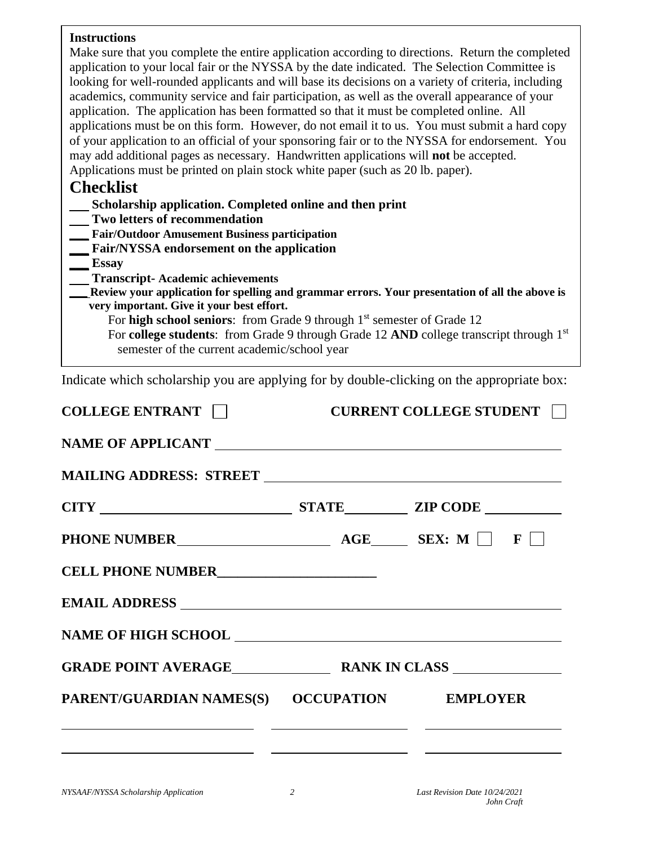#### **Instructions**

| Instructions<br>Make sure that you complete the entire application according to directions. Return the completed<br>application to your local fair or the NYSSA by the date indicated. The Selection Committee is<br>looking for well-rounded applicants and will base its decisions on a variety of criteria, including<br>academics, community service and fair participation, as well as the overall appearance of your<br>application. The application has been formatted so that it must be completed online. All<br>applications must be on this form. However, do not email it to us. You must submit a hard copy<br>of your application to an official of your sponsoring fair or to the NYSSA for endorsement. You<br>may add additional pages as necessary. Handwritten applications will not be accepted. |                                               |  |
|----------------------------------------------------------------------------------------------------------------------------------------------------------------------------------------------------------------------------------------------------------------------------------------------------------------------------------------------------------------------------------------------------------------------------------------------------------------------------------------------------------------------------------------------------------------------------------------------------------------------------------------------------------------------------------------------------------------------------------------------------------------------------------------------------------------------|-----------------------------------------------|--|
| Applications must be printed on plain stock white paper (such as 20 lb. paper).<br><b>Checklist</b>                                                                                                                                                                                                                                                                                                                                                                                                                                                                                                                                                                                                                                                                                                                  |                                               |  |
| Scholarship application. Completed online and then print                                                                                                                                                                                                                                                                                                                                                                                                                                                                                                                                                                                                                                                                                                                                                             |                                               |  |
| Two letters of recommendation<br><b>Fair/Outdoor Amusement Business participation</b>                                                                                                                                                                                                                                                                                                                                                                                                                                                                                                                                                                                                                                                                                                                                |                                               |  |
| Fair/NYSSA endorsement on the application<br>$\equiv$ Essay                                                                                                                                                                                                                                                                                                                                                                                                                                                                                                                                                                                                                                                                                                                                                          |                                               |  |
| <b>Transcript-Academic achievements</b><br>Review your application for spelling and grammar errors. Your presentation of all the above is<br>very important. Give it your best effort.<br>For high school seniors: from Grade 9 through 1 <sup>st</sup> semester of Grade 12<br>For college students: from Grade 9 through Grade 12 AND college transcript through 1st<br>semester of the current academic/school year                                                                                                                                                                                                                                                                                                                                                                                               |                                               |  |
| Indicate which scholarship you are applying for by double-clicking on the appropriate box:                                                                                                                                                                                                                                                                                                                                                                                                                                                                                                                                                                                                                                                                                                                           |                                               |  |
| <b>COLLEGE ENTRANT</b>                                                                                                                                                                                                                                                                                                                                                                                                                                                                                                                                                                                                                                                                                                                                                                                               | <b>CURRENT COLLEGE STUDENT</b>                |  |
| <b>NAME OF APPLICANT</b>                                                                                                                                                                                                                                                                                                                                                                                                                                                                                                                                                                                                                                                                                                                                                                                             |                                               |  |
| <b>MAILING ADDRESS: STREET</b>                                                                                                                                                                                                                                                                                                                                                                                                                                                                                                                                                                                                                                                                                                                                                                                       |                                               |  |
| <b>STATE</b><br><b>CITY</b>                                                                                                                                                                                                                                                                                                                                                                                                                                                                                                                                                                                                                                                                                                                                                                                          | <b>ZIP CODE</b>                               |  |
| PHONE NUMBER<br>$\overline{AGE}$ $\overline{SEX: M}$ $\overline{F}$                                                                                                                                                                                                                                                                                                                                                                                                                                                                                                                                                                                                                                                                                                                                                  |                                               |  |
| CELL PHONE NUMBER<br><u>__________________________</u>                                                                                                                                                                                                                                                                                                                                                                                                                                                                                                                                                                                                                                                                                                                                                               |                                               |  |
|                                                                                                                                                                                                                                                                                                                                                                                                                                                                                                                                                                                                                                                                                                                                                                                                                      |                                               |  |
|                                                                                                                                                                                                                                                                                                                                                                                                                                                                                                                                                                                                                                                                                                                                                                                                                      |                                               |  |
|                                                                                                                                                                                                                                                                                                                                                                                                                                                                                                                                                                                                                                                                                                                                                                                                                      |                                               |  |
| PARENT/GUARDIAN NAMES(S) OCCUPATION EMPLOYER                                                                                                                                                                                                                                                                                                                                                                                                                                                                                                                                                                                                                                                                                                                                                                         |                                               |  |
| <u> 1999 - Johann Harry Johann Harry Barbara, mars and de format and description of the second second second second</u><br><u> 1989 - Johann Harry Harry Harry Harry Harry Harry Harry Harry Harry Harry Harry Harry Harry Harry Harry Harry</u>                                                                                                                                                                                                                                                                                                                                                                                                                                                                                                                                                                     | <u> 1980 - Andrea Andrew Maria (h. 1980).</u> |  |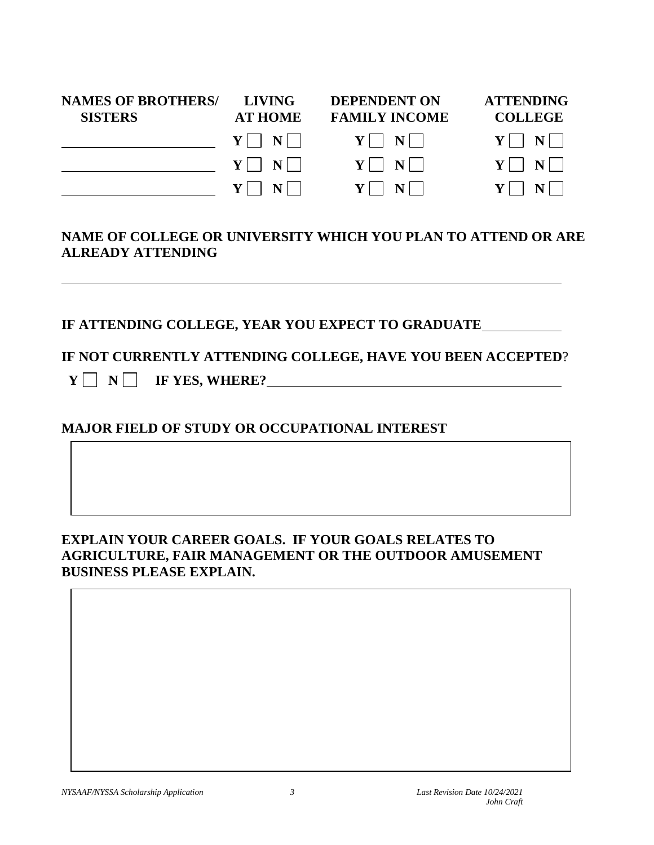| <b>NAMES OF BROTHERS/</b><br><b>SISTERS</b> | <b>LIVING</b><br><b>AT HOME</b>               | <b>DEPENDENT ON</b><br><b>FAMILY INCOME</b> | <b>ATTENDING</b><br><b>COLLEGE</b> |
|---------------------------------------------|-----------------------------------------------|---------------------------------------------|------------------------------------|
|                                             | $Y$     $N$                                   | $Y$     $N$                                 | $Y \Box N \Box$                    |
|                                             | $Y$   N                                       | $Y$ $\mid$ $N$ $\mid$                       | $Y \Box N \Box$                    |
|                                             | $N$    <br>$\mathbf{V}$ $\vdash$ $\mathbf{V}$ | $V$ $\vert$ $\vert$ $N$ $\vert$             | $N$                                |

## **NAME OF COLLEGE OR UNIVERSITY WHICH YOU PLAN TO ATTEND OR ARE ALREADY ATTENDING**

**IF ATTENDING COLLEGE, YEAR YOU EXPECT TO GRADUATE**

**IF NOT CURRENTLY ATTENDING COLLEGE, HAVE YOU BEEN ACCEPTED**?

 **Y N IF YES, WHERE?**

# **MAJOR FIELD OF STUDY OR OCCUPATIONAL INTEREST**

## **EXPLAIN YOUR CAREER GOALS. IF YOUR GOALS RELATES TO AGRICULTURE, FAIR MANAGEMENT OR THE OUTDOOR AMUSEMENT BUSINESS PLEASE EXPLAIN.**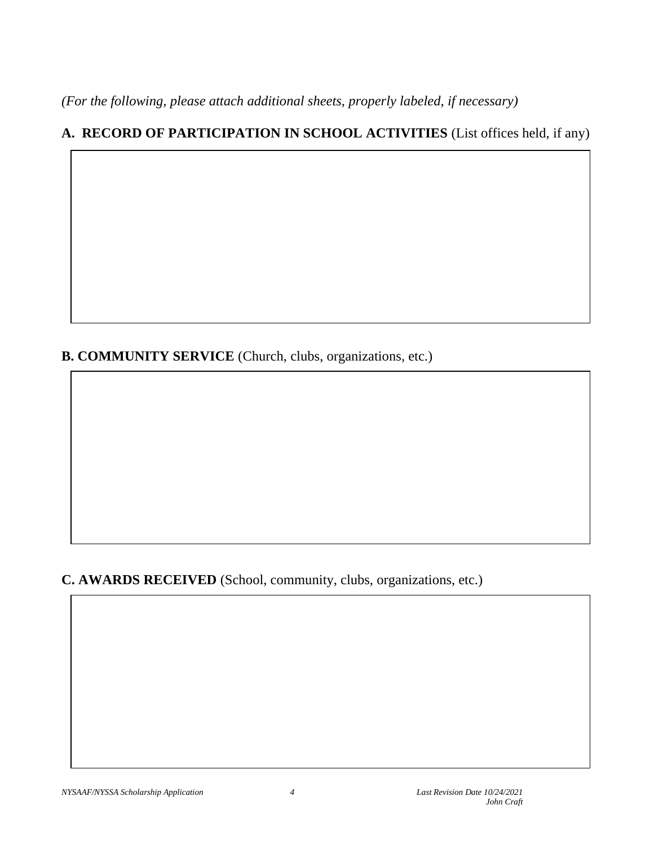*(For the following, please attach additional sheets, properly labeled, if necessary)*

# **A. RECORD OF PARTICIPATION IN SCHOOL ACTIVITIES** (List offices held, if any)

**B. COMMUNITY SERVICE** (Church, clubs, organizations, etc.)

**C. AWARDS RECEIVED** (School, community, clubs, organizations, etc.)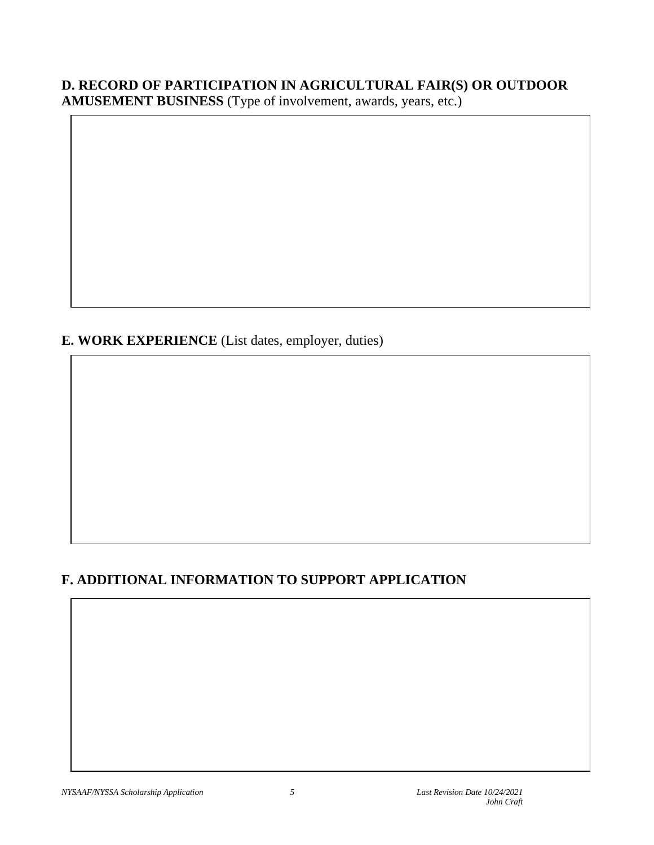# **D. RECORD OF PARTICIPATION IN AGRICULTURAL FAIR(S) OR OUTDOOR**

**AMUSEMENT BUSINESS** (Type of involvement, awards, years, etc.)

## **E. WORK EXPERIENCE** (List dates, employer, duties)

## **F. ADDITIONAL INFORMATION TO SUPPORT APPLICATION**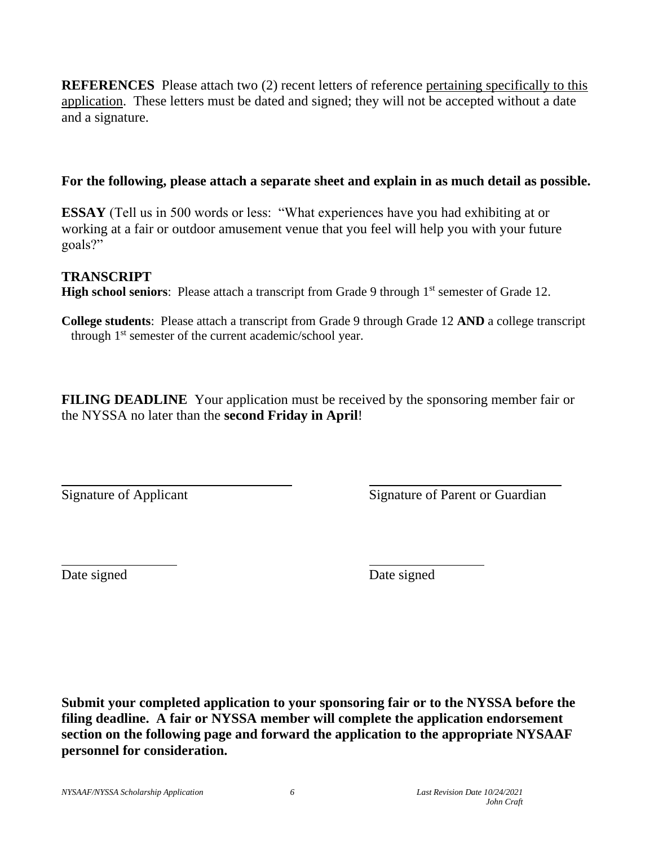**REFERENCES** Please attach two (2) recent letters of reference pertaining specifically to this application. These letters must be dated and signed; they will not be accepted without a date and a signature.

#### **For the following, please attach a separate sheet and explain in as much detail as possible.**

**ESSAY** (Tell us in 500 words or less: "What experiences have you had exhibiting at or working at a fair or outdoor amusement venue that you feel will help you with your future goals?"

## **TRANSCRIPT**

**High school seniors**: Please attach a transcript from Grade 9 through 1<sup>st</sup> semester of Grade 12.

**College students**: Please attach a transcript from Grade 9 through Grade 12 **AND** a college transcript through 1<sup>st</sup> semester of the current academic/school year.

**FILING DEADLINE** Your application must be received by the sponsoring member fair or the NYSSA no later than the **second Friday in April**!

Signature of Applicant Signature of Parent or Guardian

Date signed Date signed

**Submit your completed application to your sponsoring fair or to the NYSSA before the filing deadline. A fair or NYSSA member will complete the application endorsement section on the following page and forward the application to the appropriate NYSAAF personnel for consideration.**